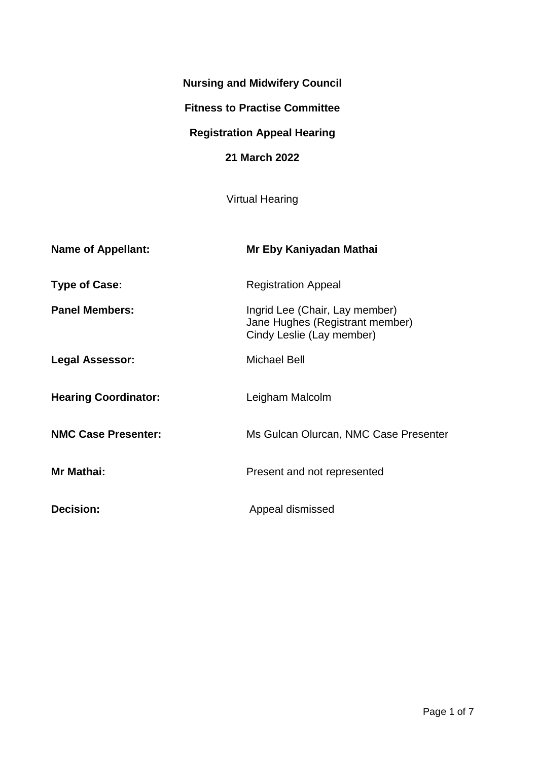# **Nursing and Midwifery Council**

### **Fitness to Practise Committee**

# **Registration Appeal Hearing**

## **21 March 2022**

Virtual Hearing

| <b>Name of Appellant:</b>   | Mr Eby Kaniyadan Mathai                                                                        |
|-----------------------------|------------------------------------------------------------------------------------------------|
| <b>Type of Case:</b>        | <b>Registration Appeal</b>                                                                     |
| <b>Panel Members:</b>       | Ingrid Lee (Chair, Lay member)<br>Jane Hughes (Registrant member)<br>Cindy Leslie (Lay member) |
| Legal Assessor:             | <b>Michael Bell</b>                                                                            |
| <b>Hearing Coordinator:</b> | Leigham Malcolm                                                                                |
| <b>NMC Case Presenter:</b>  | Ms Gulcan Olurcan, NMC Case Presenter                                                          |
| Mr Mathai:                  | Present and not represented                                                                    |
| <b>Decision:</b>            | Appeal dismissed                                                                               |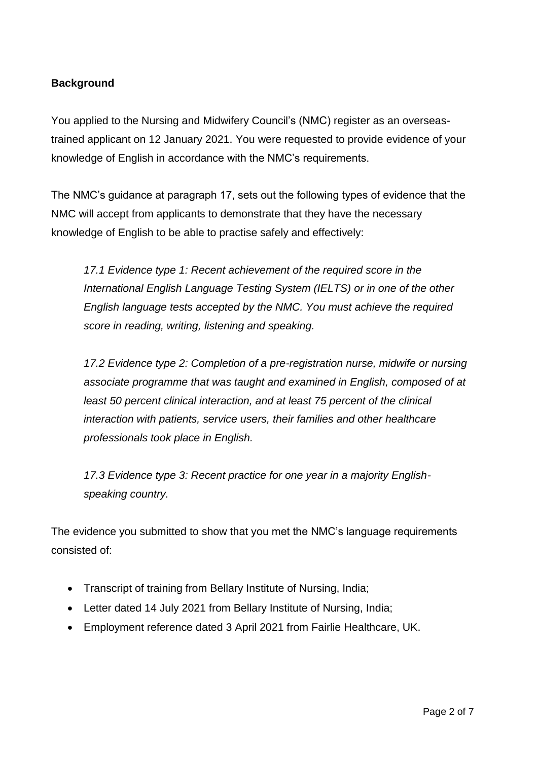## **Background**

You applied to the Nursing and Midwifery Council's (NMC) register as an overseastrained applicant on 12 January 2021. You were requested to provide evidence of your knowledge of English in accordance with the NMC's requirements.

The NMC's guidance at paragraph 17, sets out the following types of evidence that the NMC will accept from applicants to demonstrate that they have the necessary knowledge of English to be able to practise safely and effectively:

*17.1 Evidence type 1: Recent achievement of the required score in the International English Language Testing System (IELTS) or in one of the other English language tests accepted by the NMC. You must achieve the required score in reading, writing, listening and speaking.* 

*17.2 Evidence type 2: Completion of a pre-registration nurse, midwife or nursing associate programme that was taught and examined in English, composed of at least 50 percent clinical interaction, and at least 75 percent of the clinical interaction with patients, service users, their families and other healthcare professionals took place in English.*

*17.3 Evidence type 3: Recent practice for one year in a majority Englishspeaking country.*

The evidence you submitted to show that you met the NMC's language requirements consisted of:

- Transcript of training from Bellary Institute of Nursing, India;
- Letter dated 14 July 2021 from Bellary Institute of Nursing, India;
- Employment reference dated 3 April 2021 from Fairlie Healthcare, UK.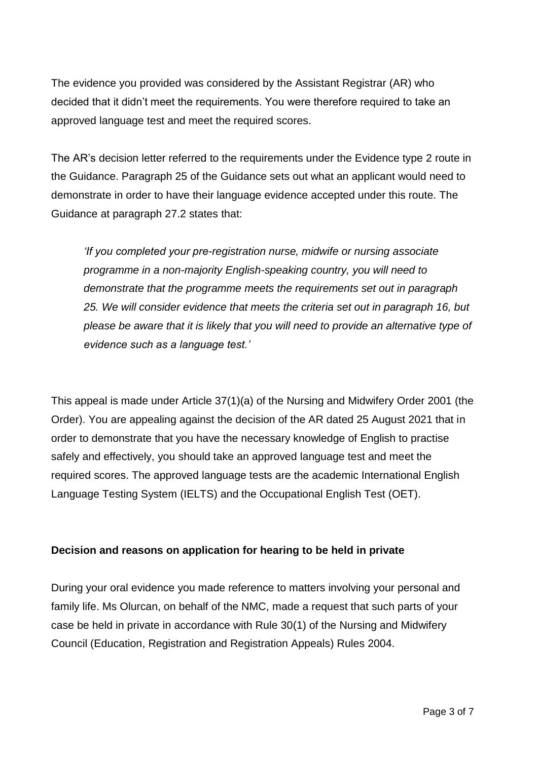The evidence you provided was considered by the Assistant Registrar (AR) who decided that it didn't meet the requirements. You were therefore required to take an approved language test and meet the required scores.

The AR's decision letter referred to the requirements under the Evidence type 2 route in the Guidance. Paragraph 25 of the Guidance sets out what an applicant would need to demonstrate in order to have their language evidence accepted under this route. The Guidance at paragraph 27.2 states that:

*'If you completed your pre-registration nurse, midwife or nursing associate programme in a non-majority English-speaking country, you will need to demonstrate that the programme meets the requirements set out in paragraph 25. We will consider evidence that meets the criteria set out in paragraph 16, but please be aware that it is likely that you will need to provide an alternative type of evidence such as a language test.'* 

This appeal is made under Article 37(1)(a) of the Nursing and Midwifery Order 2001 (the Order). You are appealing against the decision of the AR dated 25 August 2021 that in order to demonstrate that you have the necessary knowledge of English to practise safely and effectively, you should take an approved language test and meet the required scores. The approved language tests are the academic International English Language Testing System (IELTS) and the Occupational English Test (OET).

### **Decision and reasons on application for hearing to be held in private**

During your oral evidence you made reference to matters involving your personal and family life. Ms Olurcan, on behalf of the NMC, made a request that such parts of your case be held in private in accordance with Rule 30(1) of the Nursing and Midwifery Council (Education, Registration and Registration Appeals) Rules 2004.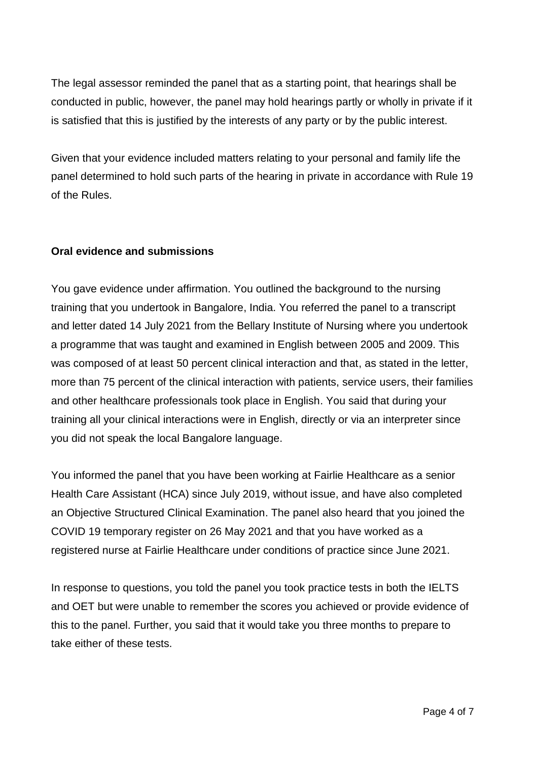The legal assessor reminded the panel that as a starting point, that hearings shall be conducted in public, however, the panel may hold hearings partly or wholly in private if it is satisfied that this is justified by the interests of any party or by the public interest.

Given that your evidence included matters relating to your personal and family life the panel determined to hold such parts of the hearing in private in accordance with Rule 19 of the Rules.

### **Oral evidence and submissions**

You gave evidence under affirmation. You outlined the background to the nursing training that you undertook in Bangalore, India. You referred the panel to a transcript and letter dated 14 July 2021 from the Bellary Institute of Nursing where you undertook a programme that was taught and examined in English between 2005 and 2009. This was composed of at least 50 percent clinical interaction and that, as stated in the letter, more than 75 percent of the clinical interaction with patients, service users, their families and other healthcare professionals took place in English. You said that during your training all your clinical interactions were in English, directly or via an interpreter since you did not speak the local Bangalore language.

You informed the panel that you have been working at Fairlie Healthcare as a senior Health Care Assistant (HCA) since July 2019, without issue, and have also completed an Objective Structured Clinical Examination. The panel also heard that you joined the COVID 19 temporary register on 26 May 2021 and that you have worked as a registered nurse at Fairlie Healthcare under conditions of practice since June 2021.

In response to questions, you told the panel you took practice tests in both the IELTS and OET but were unable to remember the scores you achieved or provide evidence of this to the panel. Further, you said that it would take you three months to prepare to take either of these tests.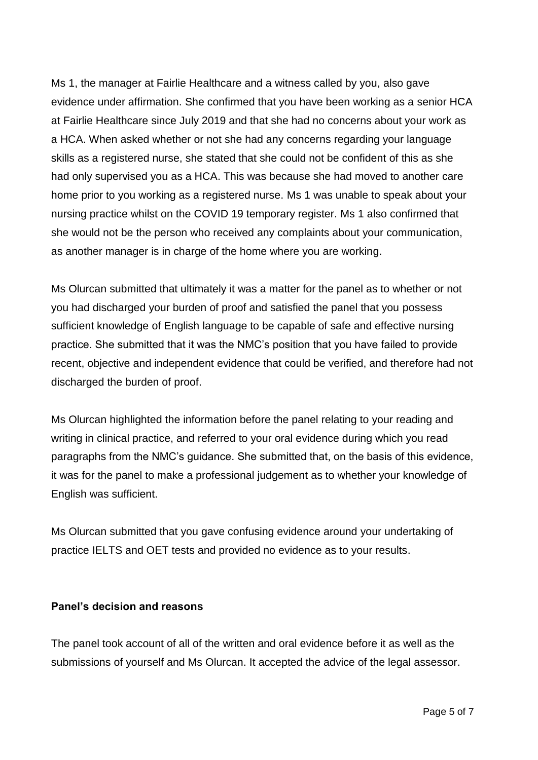Ms 1, the manager at Fairlie Healthcare and a witness called by you, also gave evidence under affirmation. She confirmed that you have been working as a senior HCA at Fairlie Healthcare since July 2019 and that she had no concerns about your work as a HCA. When asked whether or not she had any concerns regarding your language skills as a registered nurse, she stated that she could not be confident of this as she had only supervised you as a HCA. This was because she had moved to another care home prior to you working as a registered nurse. Ms 1 was unable to speak about your nursing practice whilst on the COVID 19 temporary register. Ms 1 also confirmed that she would not be the person who received any complaints about your communication, as another manager is in charge of the home where you are working.

Ms Olurcan submitted that ultimately it was a matter for the panel as to whether or not you had discharged your burden of proof and satisfied the panel that you possess sufficient knowledge of English language to be capable of safe and effective nursing practice. She submitted that it was the NMC's position that you have failed to provide recent, objective and independent evidence that could be verified, and therefore had not discharged the burden of proof.

Ms Olurcan highlighted the information before the panel relating to your reading and writing in clinical practice, and referred to your oral evidence during which you read paragraphs from the NMC's guidance. She submitted that, on the basis of this evidence, it was for the panel to make a professional judgement as to whether your knowledge of English was sufficient.

Ms Olurcan submitted that you gave confusing evidence around your undertaking of practice IELTS and OET tests and provided no evidence as to your results.

### **Panel's decision and reasons**

The panel took account of all of the written and oral evidence before it as well as the submissions of yourself and Ms Olurcan. It accepted the advice of the legal assessor.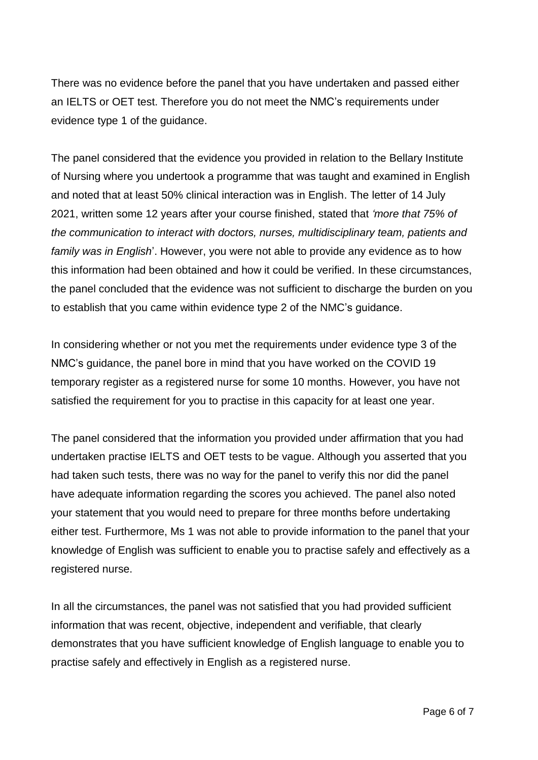There was no evidence before the panel that you have undertaken and passed either an IELTS or OET test. Therefore you do not meet the NMC's requirements under evidence type 1 of the guidance.

The panel considered that the evidence you provided in relation to the Bellary Institute of Nursing where you undertook a programme that was taught and examined in English and noted that at least 50% clinical interaction was in English. The letter of 14 July 2021, written some 12 years after your course finished, stated that *'more that 75% of the communication to interact with doctors, nurses, multidisciplinary team, patients and family was in English*'. However, you were not able to provide any evidence as to how this information had been obtained and how it could be verified. In these circumstances, the panel concluded that the evidence was not sufficient to discharge the burden on you to establish that you came within evidence type 2 of the NMC's guidance.

In considering whether or not you met the requirements under evidence type 3 of the NMC's guidance, the panel bore in mind that you have worked on the COVID 19 temporary register as a registered nurse for some 10 months. However, you have not satisfied the requirement for you to practise in this capacity for at least one year.

The panel considered that the information you provided under affirmation that you had undertaken practise IELTS and OET tests to be vague. Although you asserted that you had taken such tests, there was no way for the panel to verify this nor did the panel have adequate information regarding the scores you achieved. The panel also noted your statement that you would need to prepare for three months before undertaking either test. Furthermore, Ms 1 was not able to provide information to the panel that your knowledge of English was sufficient to enable you to practise safely and effectively as a registered nurse.

In all the circumstances, the panel was not satisfied that you had provided sufficient information that was recent, objective, independent and verifiable, that clearly demonstrates that you have sufficient knowledge of English language to enable you to practise safely and effectively in English as a registered nurse.